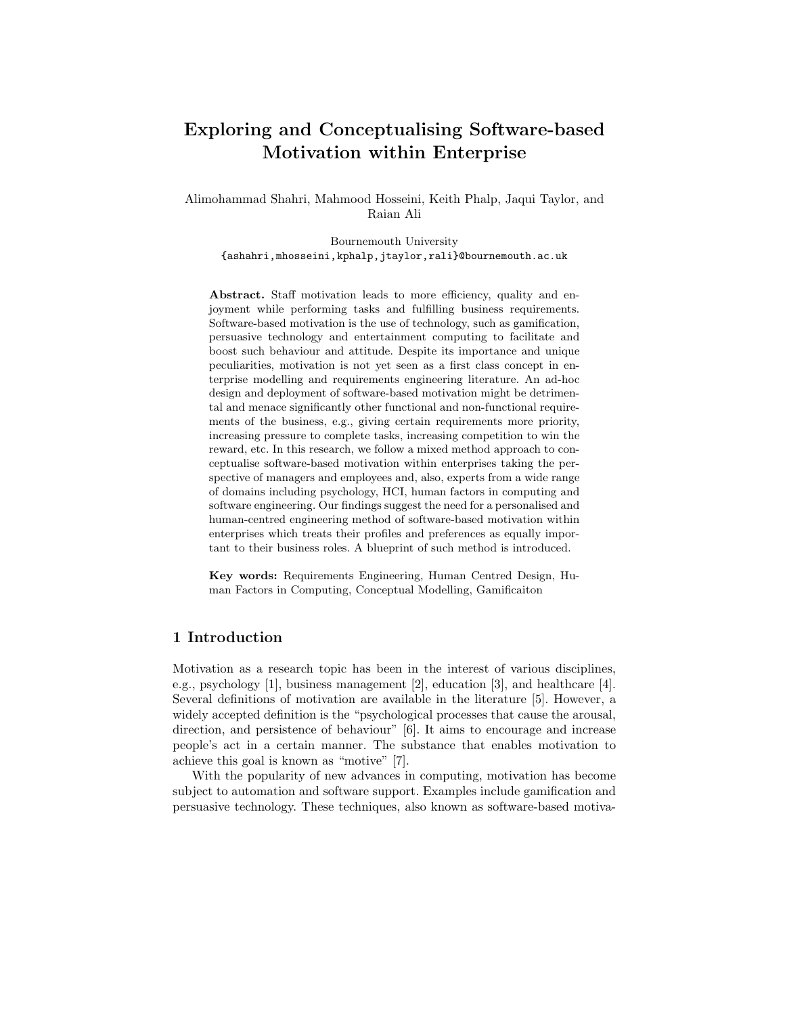# Exploring and Conceptualising Software-based Motivation within Enterprise

Alimohammad Shahri, Mahmood Hosseini, Keith Phalp, Jaqui Taylor, and Raian Ali

Bournemouth University {ashahri,mhosseini,kphalp,jtaylor,rali}@bournemouth.ac.uk

Abstract. Staff motivation leads to more efficiency, quality and enjoyment while performing tasks and fulfilling business requirements. Software-based motivation is the use of technology, such as gamification, persuasive technology and entertainment computing to facilitate and boost such behaviour and attitude. Despite its importance and unique peculiarities, motivation is not yet seen as a first class concept in enterprise modelling and requirements engineering literature. An ad-hoc design and deployment of software-based motivation might be detrimental and menace significantly other functional and non-functional requirements of the business, e.g., giving certain requirements more priority, increasing pressure to complete tasks, increasing competition to win the reward, etc. In this research, we follow a mixed method approach to conceptualise software-based motivation within enterprises taking the perspective of managers and employees and, also, experts from a wide range of domains including psychology, HCI, human factors in computing and software engineering. Our findings suggest the need for a personalised and human-centred engineering method of software-based motivation within enterprises which treats their profiles and preferences as equally important to their business roles. A blueprint of such method is introduced.

Key words: Requirements Engineering, Human Centred Design, Human Factors in Computing, Conceptual Modelling, Gamificaiton

# 1 Introduction

Motivation as a research topic has been in the interest of various disciplines, e.g., psychology [1], business management [2], education [3], and healthcare [4]. Several definitions of motivation are available in the literature [5]. However, a widely accepted definition is the "psychological processes that cause the arousal, direction, and persistence of behaviour" [6]. It aims to encourage and increase people's act in a certain manner. The substance that enables motivation to achieve this goal is known as "motive" [7].

With the popularity of new advances in computing, motivation has become subject to automation and software support. Examples include gamification and persuasive technology. These techniques, also known as software-based motiva-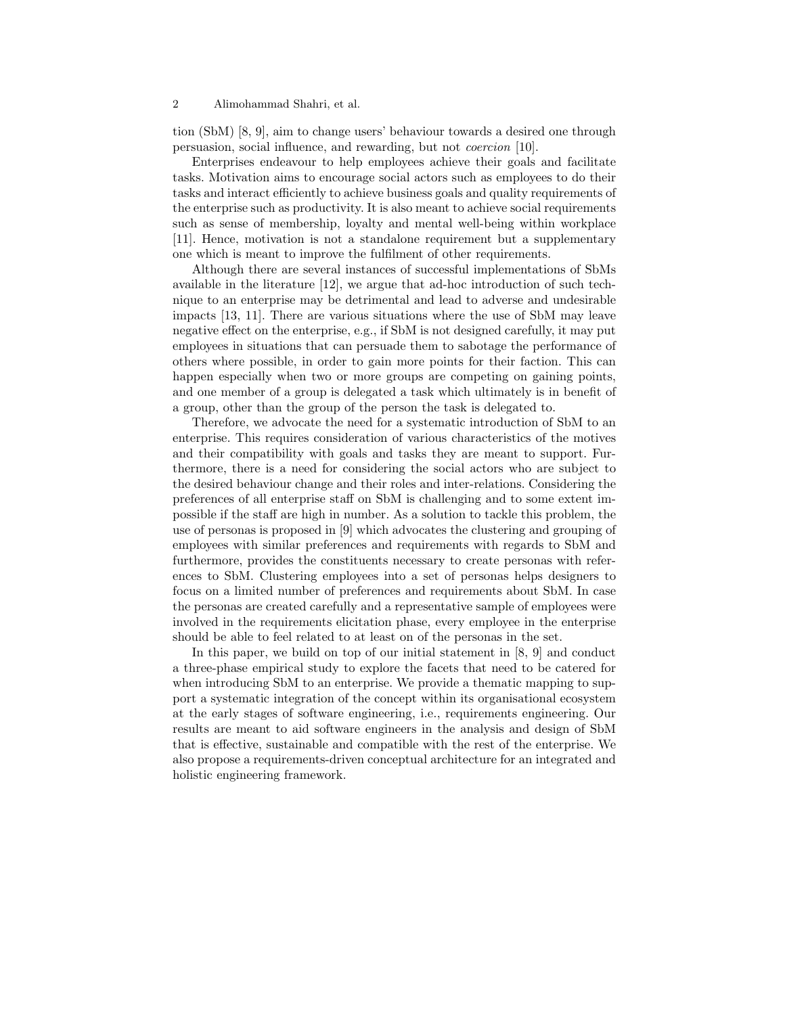tion (SbM) [8, 9], aim to change users' behaviour towards a desired one through persuasion, social influence, and rewarding, but not coercion [10].

Enterprises endeavour to help employees achieve their goals and facilitate tasks. Motivation aims to encourage social actors such as employees to do their tasks and interact efficiently to achieve business goals and quality requirements of the enterprise such as productivity. It is also meant to achieve social requirements such as sense of membership, loyalty and mental well-being within workplace [11]. Hence, motivation is not a standalone requirement but a supplementary one which is meant to improve the fulfilment of other requirements.

Although there are several instances of successful implementations of SbMs available in the literature [12], we argue that ad-hoc introduction of such technique to an enterprise may be detrimental and lead to adverse and undesirable impacts [13, 11]. There are various situations where the use of SbM may leave negative effect on the enterprise, e.g., if SbM is not designed carefully, it may put employees in situations that can persuade them to sabotage the performance of others where possible, in order to gain more points for their faction. This can happen especially when two or more groups are competing on gaining points, and one member of a group is delegated a task which ultimately is in benefit of a group, other than the group of the person the task is delegated to.

Therefore, we advocate the need for a systematic introduction of SbM to an enterprise. This requires consideration of various characteristics of the motives and their compatibility with goals and tasks they are meant to support. Furthermore, there is a need for considering the social actors who are subject to the desired behaviour change and their roles and inter-relations. Considering the preferences of all enterprise staff on SbM is challenging and to some extent impossible if the staff are high in number. As a solution to tackle this problem, the use of personas is proposed in [9] which advocates the clustering and grouping of employees with similar preferences and requirements with regards to SbM and furthermore, provides the constituents necessary to create personas with references to SbM. Clustering employees into a set of personas helps designers to focus on a limited number of preferences and requirements about SbM. In case the personas are created carefully and a representative sample of employees were involved in the requirements elicitation phase, every employee in the enterprise should be able to feel related to at least on of the personas in the set.

In this paper, we build on top of our initial statement in [8, 9] and conduct a three-phase empirical study to explore the facets that need to be catered for when introducing SbM to an enterprise. We provide a thematic mapping to support a systematic integration of the concept within its organisational ecosystem at the early stages of software engineering, i.e., requirements engineering. Our results are meant to aid software engineers in the analysis and design of SbM that is effective, sustainable and compatible with the rest of the enterprise. We also propose a requirements-driven conceptual architecture for an integrated and holistic engineering framework.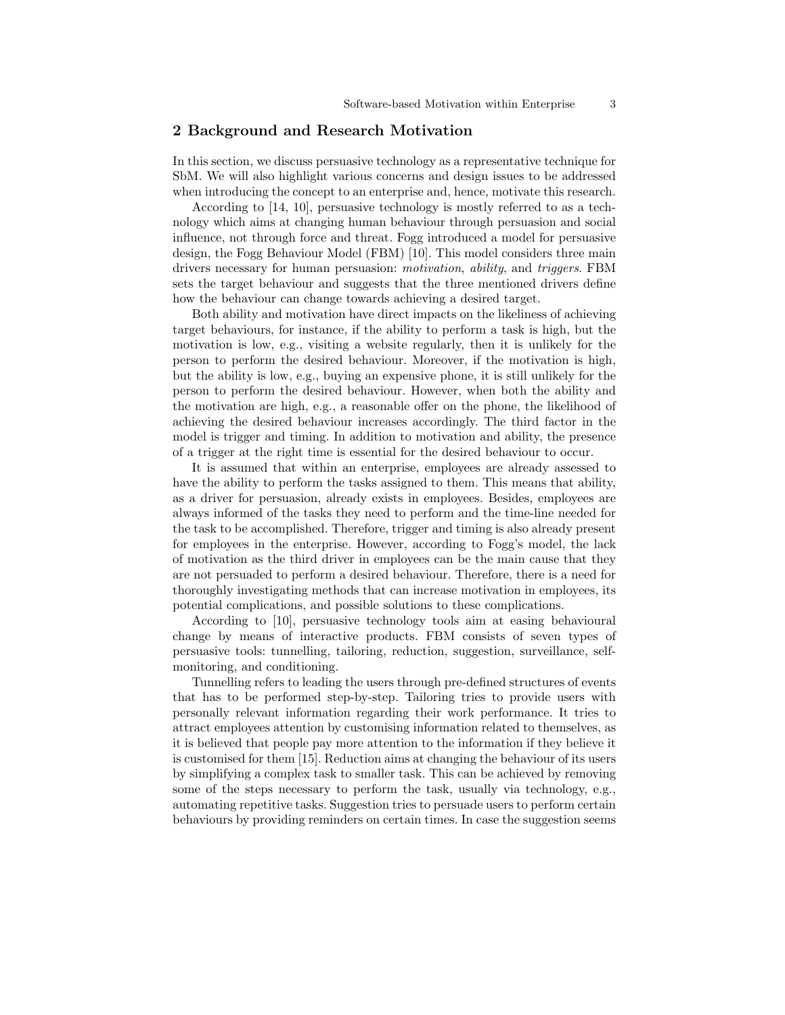### 2 Background and Research Motivation

In this section, we discuss persuasive technology as a representative technique for SbM. We will also highlight various concerns and design issues to be addressed when introducing the concept to an enterprise and, hence, motivate this research.

According to [14, 10], persuasive technology is mostly referred to as a technology which aims at changing human behaviour through persuasion and social influence, not through force and threat. Fogg introduced a model for persuasive design, the Fogg Behaviour Model (FBM) [10]. This model considers three main drivers necessary for human persuasion: motivation, ability, and triggers. FBM sets the target behaviour and suggests that the three mentioned drivers define how the behaviour can change towards achieving a desired target.

Both ability and motivation have direct impacts on the likeliness of achieving target behaviours, for instance, if the ability to perform a task is high, but the motivation is low, e.g., visiting a website regularly, then it is unlikely for the person to perform the desired behaviour. Moreover, if the motivation is high, but the ability is low, e.g., buying an expensive phone, it is still unlikely for the person to perform the desired behaviour. However, when both the ability and the motivation are high, e.g., a reasonable offer on the phone, the likelihood of achieving the desired behaviour increases accordingly. The third factor in the model is trigger and timing. In addition to motivation and ability, the presence of a trigger at the right time is essential for the desired behaviour to occur.

It is assumed that within an enterprise, employees are already assessed to have the ability to perform the tasks assigned to them. This means that ability, as a driver for persuasion, already exists in employees. Besides, employees are always informed of the tasks they need to perform and the time-line needed for the task to be accomplished. Therefore, trigger and timing is also already present for employees in the enterprise. However, according to Fogg's model, the lack of motivation as the third driver in employees can be the main cause that they are not persuaded to perform a desired behaviour. Therefore, there is a need for thoroughly investigating methods that can increase motivation in employees, its potential complications, and possible solutions to these complications.

According to [10], persuasive technology tools aim at easing behavioural change by means of interactive products. FBM consists of seven types of persuasive tools: tunnelling, tailoring, reduction, suggestion, surveillance, selfmonitoring, and conditioning.

Tunnelling refers to leading the users through pre-defined structures of events that has to be performed step-by-step. Tailoring tries to provide users with personally relevant information regarding their work performance. It tries to attract employees attention by customising information related to themselves, as it is believed that people pay more attention to the information if they believe it is customised for them [15]. Reduction aims at changing the behaviour of its users by simplifying a complex task to smaller task. This can be achieved by removing some of the steps necessary to perform the task, usually via technology, e.g., automating repetitive tasks. Suggestion tries to persuade users to perform certain behaviours by providing reminders on certain times. In case the suggestion seems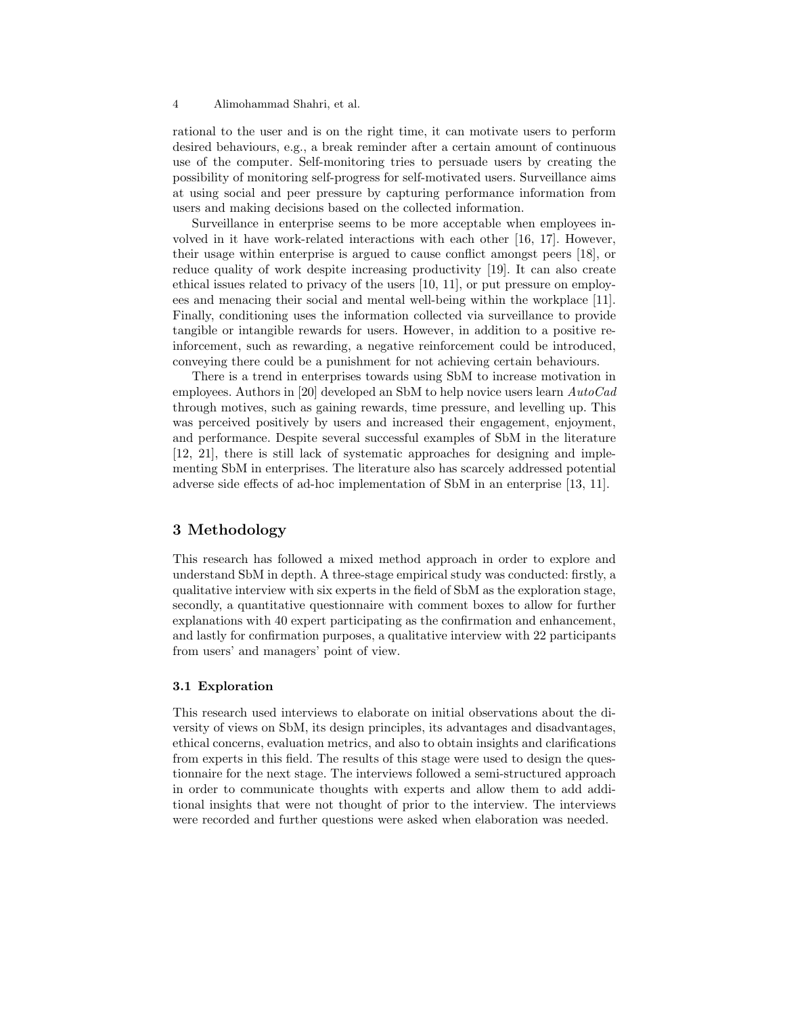rational to the user and is on the right time, it can motivate users to perform desired behaviours, e.g., a break reminder after a certain amount of continuous use of the computer. Self-monitoring tries to persuade users by creating the possibility of monitoring self-progress for self-motivated users. Surveillance aims at using social and peer pressure by capturing performance information from users and making decisions based on the collected information.

Surveillance in enterprise seems to be more acceptable when employees involved in it have work-related interactions with each other [16, 17]. However, their usage within enterprise is argued to cause conflict amongst peers [18], or reduce quality of work despite increasing productivity [19]. It can also create ethical issues related to privacy of the users [10, 11], or put pressure on employees and menacing their social and mental well-being within the workplace [11]. Finally, conditioning uses the information collected via surveillance to provide tangible or intangible rewards for users. However, in addition to a positive reinforcement, such as rewarding, a negative reinforcement could be introduced, conveying there could be a punishment for not achieving certain behaviours.

There is a trend in enterprises towards using SbM to increase motivation in employees. Authors in [20] developed an SbM to help novice users learn  $AutoCad$ through motives, such as gaining rewards, time pressure, and levelling up. This was perceived positively by users and increased their engagement, enjoyment, and performance. Despite several successful examples of SbM in the literature [12, 21], there is still lack of systematic approaches for designing and implementing SbM in enterprises. The literature also has scarcely addressed potential adverse side effects of ad-hoc implementation of SbM in an enterprise [13, 11].

# 3 Methodology

This research has followed a mixed method approach in order to explore and understand SbM in depth. A three-stage empirical study was conducted: firstly, a qualitative interview with six experts in the field of SbM as the exploration stage, secondly, a quantitative questionnaire with comment boxes to allow for further explanations with 40 expert participating as the confirmation and enhancement, and lastly for confirmation purposes, a qualitative interview with 22 participants from users' and managers' point of view.

#### 3.1 Exploration

This research used interviews to elaborate on initial observations about the diversity of views on SbM, its design principles, its advantages and disadvantages, ethical concerns, evaluation metrics, and also to obtain insights and clarifications from experts in this field. The results of this stage were used to design the questionnaire for the next stage. The interviews followed a semi-structured approach in order to communicate thoughts with experts and allow them to add additional insights that were not thought of prior to the interview. The interviews were recorded and further questions were asked when elaboration was needed.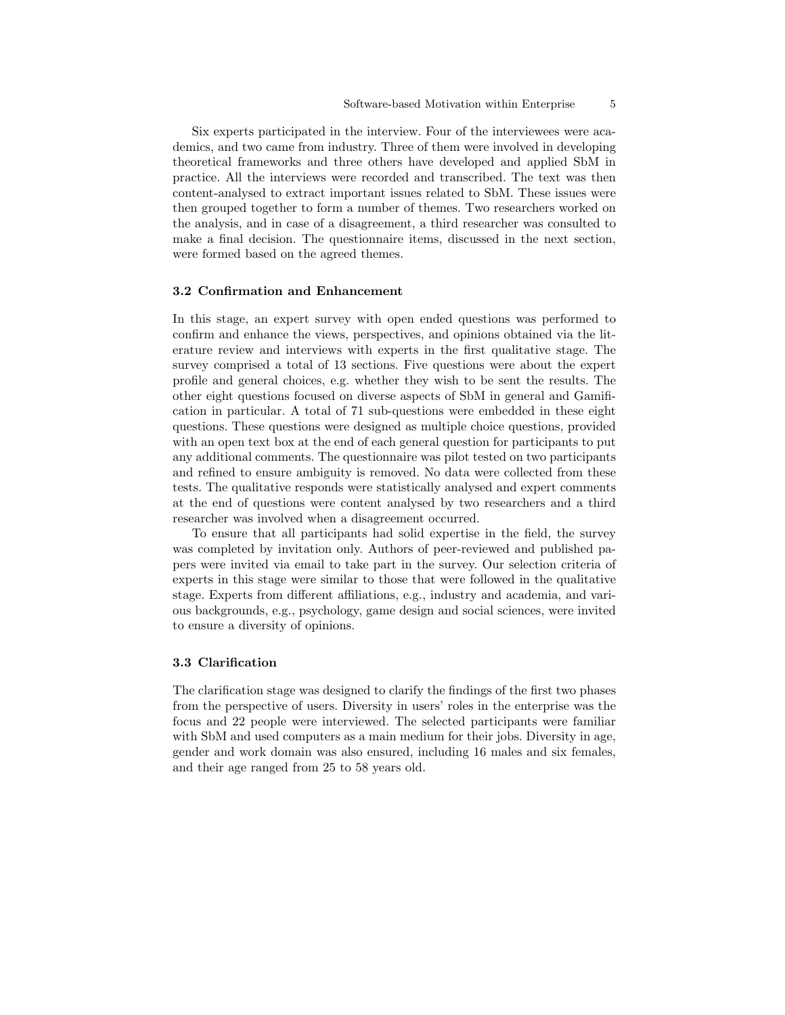Six experts participated in the interview. Four of the interviewees were academics, and two came from industry. Three of them were involved in developing theoretical frameworks and three others have developed and applied SbM in practice. All the interviews were recorded and transcribed. The text was then content-analysed to extract important issues related to SbM. These issues were then grouped together to form a number of themes. Two researchers worked on the analysis, and in case of a disagreement, a third researcher was consulted to make a final decision. The questionnaire items, discussed in the next section, were formed based on the agreed themes.

#### 3.2 Confirmation and Enhancement

In this stage, an expert survey with open ended questions was performed to confirm and enhance the views, perspectives, and opinions obtained via the literature review and interviews with experts in the first qualitative stage. The survey comprised a total of 13 sections. Five questions were about the expert profile and general choices, e.g. whether they wish to be sent the results. The other eight questions focused on diverse aspects of SbM in general and Gamification in particular. A total of 71 sub-questions were embedded in these eight questions. These questions were designed as multiple choice questions, provided with an open text box at the end of each general question for participants to put any additional comments. The questionnaire was pilot tested on two participants and refined to ensure ambiguity is removed. No data were collected from these tests. The qualitative responds were statistically analysed and expert comments at the end of questions were content analysed by two researchers and a third researcher was involved when a disagreement occurred.

To ensure that all participants had solid expertise in the field, the survey was completed by invitation only. Authors of peer-reviewed and published papers were invited via email to take part in the survey. Our selection criteria of experts in this stage were similar to those that were followed in the qualitative stage. Experts from different affiliations, e.g., industry and academia, and various backgrounds, e.g., psychology, game design and social sciences, were invited to ensure a diversity of opinions.

#### 3.3 Clarification

The clarification stage was designed to clarify the findings of the first two phases from the perspective of users. Diversity in users' roles in the enterprise was the focus and 22 people were interviewed. The selected participants were familiar with SbM and used computers as a main medium for their jobs. Diversity in age, gender and work domain was also ensured, including 16 males and six females, and their age ranged from 25 to 58 years old.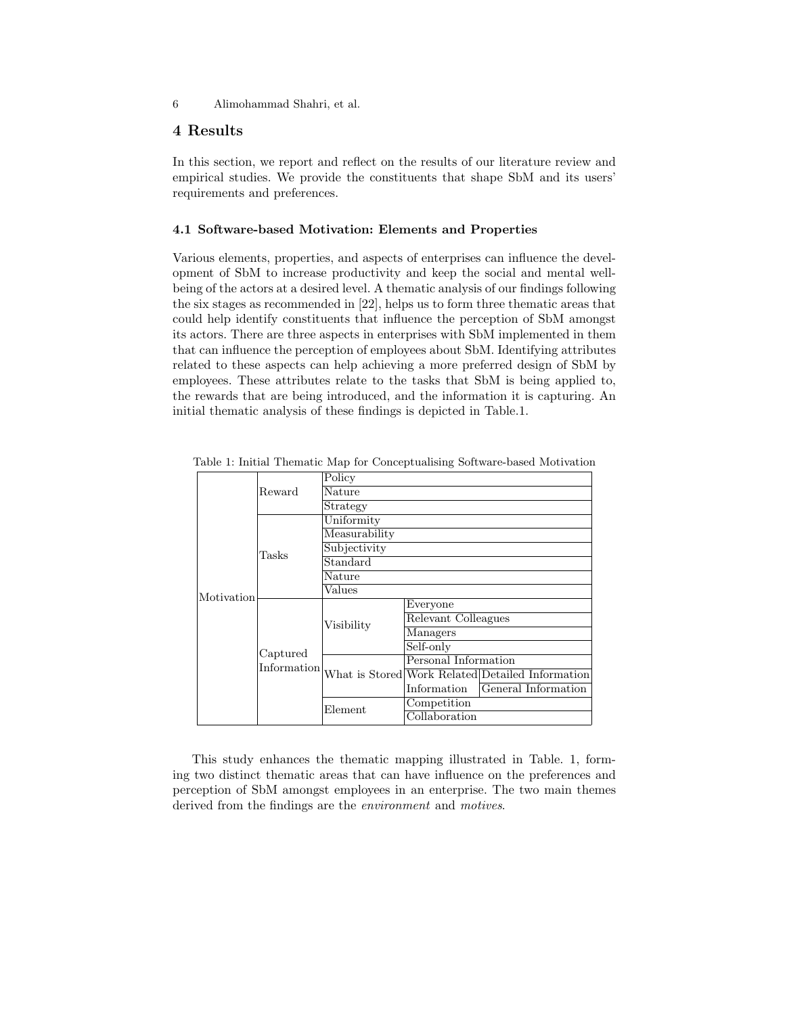# 4 Results

In this section, we report and reflect on the results of our literature review and empirical studies. We provide the constituents that shape SbM and its users' requirements and preferences.

### 4.1 Software-based Motivation: Elements and Properties

Various elements, properties, and aspects of enterprises can influence the development of SbM to increase productivity and keep the social and mental wellbeing of the actors at a desired level. A thematic analysis of our findings following the six stages as recommended in [22], helps us to form three thematic areas that could help identify constituents that influence the perception of SbM amongst its actors. There are three aspects in enterprises with SbM implemented in them that can influence the perception of employees about SbM. Identifying attributes related to these aspects can help achieving a more preferred design of SbM by employees. These attributes relate to the tasks that SbM is being applied to, the rewards that are being introduced, and the information it is capturing. An initial thematic analysis of these findings is depicted in Table.1.

|            | Reward                  | Policy        |                                                  |  |
|------------|-------------------------|---------------|--------------------------------------------------|--|
| Motivation |                         | Nature        |                                                  |  |
|            |                         | Strategy      |                                                  |  |
|            | Tasks                   | Uniformity    |                                                  |  |
|            |                         | Measurability |                                                  |  |
|            |                         | Subjectivity  |                                                  |  |
|            |                         | Standard      |                                                  |  |
|            |                         | Nature        |                                                  |  |
|            |                         | Values        |                                                  |  |
|            | Captured<br>Information | Visibility    | Everyone                                         |  |
|            |                         |               | Relevant Colleagues                              |  |
|            |                         |               | Managers                                         |  |
|            |                         |               | Self-only                                        |  |
|            |                         |               | Personal Information                             |  |
|            |                         |               | What is Stored Work Related Detailed Information |  |
|            |                         |               | General Information<br>Information               |  |
|            |                         | Element       | Competition                                      |  |
|            |                         |               | Collaboration                                    |  |

Table 1: Initial Thematic Map for Conceptualising Software-based Motivation

This study enhances the thematic mapping illustrated in Table. 1, forming two distinct thematic areas that can have influence on the preferences and perception of SbM amongst employees in an enterprise. The two main themes derived from the findings are the *environment* and *motives*.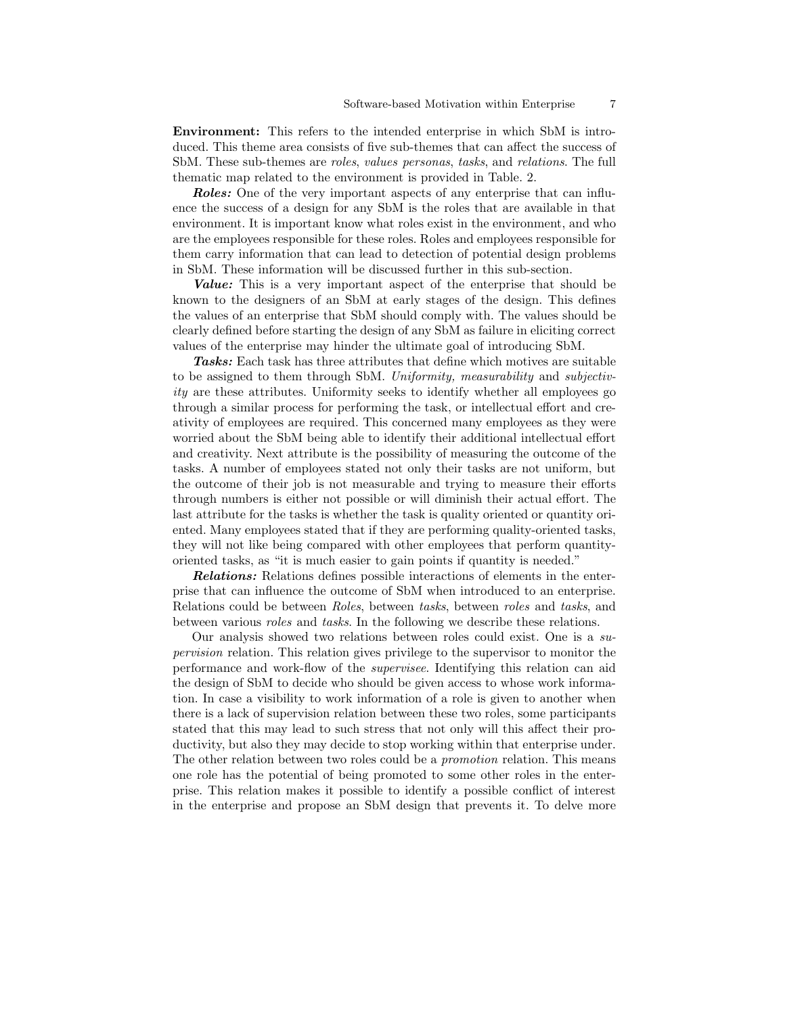Environment: This refers to the intended enterprise in which SbM is introduced. This theme area consists of five sub-themes that can affect the success of SbM. These sub-themes are roles, values personas, tasks, and relations. The full thematic map related to the environment is provided in Table. 2.

Roles: One of the very important aspects of any enterprise that can influence the success of a design for any SbM is the roles that are available in that environment. It is important know what roles exist in the environment, and who are the employees responsible for these roles. Roles and employees responsible for them carry information that can lead to detection of potential design problems in SbM. These information will be discussed further in this sub-section.

Value: This is a very important aspect of the enterprise that should be known to the designers of an SbM at early stages of the design. This defines the values of an enterprise that SbM should comply with. The values should be clearly defined before starting the design of any SbM as failure in eliciting correct values of the enterprise may hinder the ultimate goal of introducing SbM.

Tasks: Each task has three attributes that define which motives are suitable to be assigned to them through SbM. Uniformity, measurability and subjectivity are these attributes. Uniformity seeks to identify whether all employees go through a similar process for performing the task, or intellectual effort and creativity of employees are required. This concerned many employees as they were worried about the SbM being able to identify their additional intellectual effort and creativity. Next attribute is the possibility of measuring the outcome of the tasks. A number of employees stated not only their tasks are not uniform, but the outcome of their job is not measurable and trying to measure their efforts through numbers is either not possible or will diminish their actual effort. The last attribute for the tasks is whether the task is quality oriented or quantity oriented. Many employees stated that if they are performing quality-oriented tasks, they will not like being compared with other employees that perform quantityoriented tasks, as "it is much easier to gain points if quantity is needed."

Relations: Relations defines possible interactions of elements in the enterprise that can influence the outcome of SbM when introduced to an enterprise. Relations could be between Roles, between tasks, between roles and tasks, and between various roles and tasks. In the following we describe these relations.

Our analysis showed two relations between roles could exist. One is a supervision relation. This relation gives privilege to the supervisor to monitor the performance and work-flow of the supervisee. Identifying this relation can aid the design of SbM to decide who should be given access to whose work information. In case a visibility to work information of a role is given to another when there is a lack of supervision relation between these two roles, some participants stated that this may lead to such stress that not only will this affect their productivity, but also they may decide to stop working within that enterprise under. The other relation between two roles could be a promotion relation. This means one role has the potential of being promoted to some other roles in the enterprise. This relation makes it possible to identify a possible conflict of interest in the enterprise and propose an SbM design that prevents it. To delve more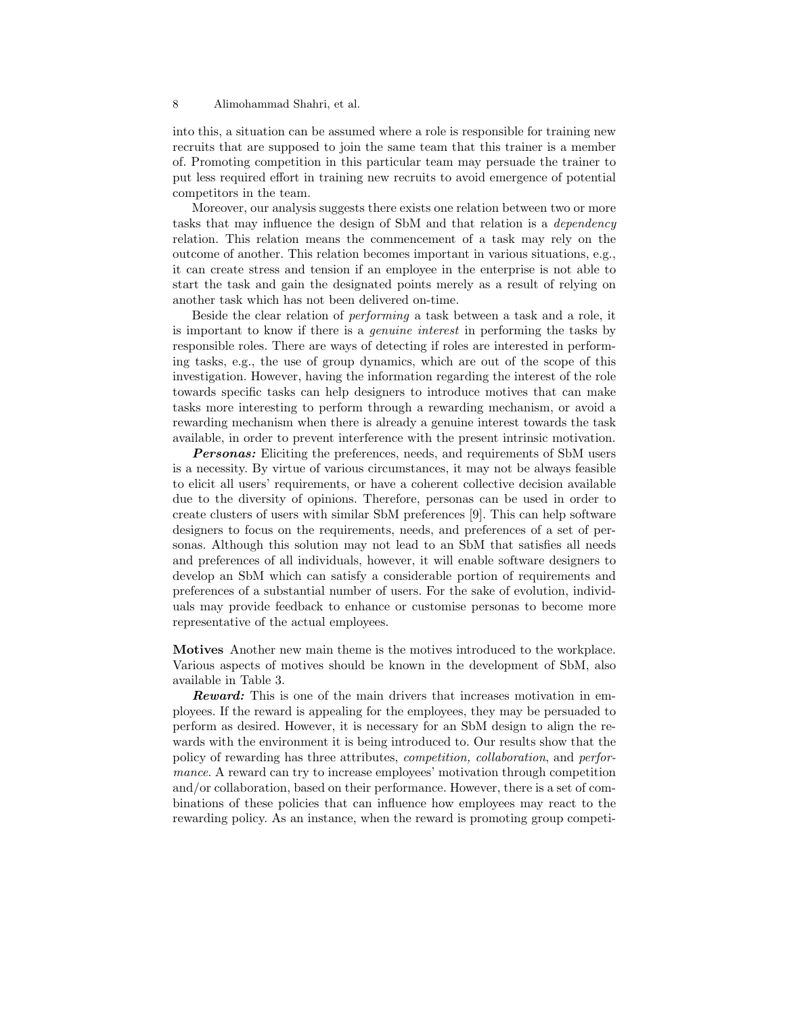into this, a situation can be assumed where a role is responsible for training new recruits that are supposed to join the same team that this trainer is a member of. Promoting competition in this particular team may persuade the trainer to put less required effort in training new recruits to avoid emergence of potential competitors in the team.

Moreover, our analysis suggests there exists one relation between two or more tasks that may influence the design of SbM and that relation is a dependency relation. This relation means the commencement of a task may rely on the outcome of another. This relation becomes important in various situations, e.g., it can create stress and tension if an employee in the enterprise is not able to start the task and gain the designated points merely as a result of relying on another task which has not been delivered on-time.

Beside the clear relation of performing a task between a task and a role, it is important to know if there is a genuine interest in performing the tasks by responsible roles. There are ways of detecting if roles are interested in performing tasks, e.g., the use of group dynamics, which are out of the scope of this investigation. However, having the information regarding the interest of the role towards specific tasks can help designers to introduce motives that can make tasks more interesting to perform through a rewarding mechanism, or avoid a rewarding mechanism when there is already a genuine interest towards the task available, in order to prevent interference with the present intrinsic motivation.

**Personas:** Eliciting the preferences, needs, and requirements of SbM users is a necessity. By virtue of various circumstances, it may not be always feasible to elicit all users' requirements, or have a coherent collective decision available due to the diversity of opinions. Therefore, personas can be used in order to create clusters of users with similar SbM preferences [9]. This can help software designers to focus on the requirements, needs, and preferences of a set of personas. Although this solution may not lead to an SbM that satisfies all needs and preferences of all individuals, however, it will enable software designers to develop an SbM which can satisfy a considerable portion of requirements and preferences of a substantial number of users. For the sake of evolution, individuals may provide feedback to enhance or customise personas to become more representative of the actual employees.

Motives Another new main theme is the motives introduced to the workplace. Various aspects of motives should be known in the development of SbM, also available in Table 3.

**Reward:** This is one of the main drivers that increases motivation in employees. If the reward is appealing for the employees, they may be persuaded to perform as desired. However, it is necessary for an SbM design to align the rewards with the environment it is being introduced to. Our results show that the policy of rewarding has three attributes, competition, collaboration, and performance. A reward can try to increase employees' motivation through competition and/or collaboration, based on their performance. However, there is a set of combinations of these policies that can influence how employees may react to the rewarding policy. As an instance, when the reward is promoting group competi-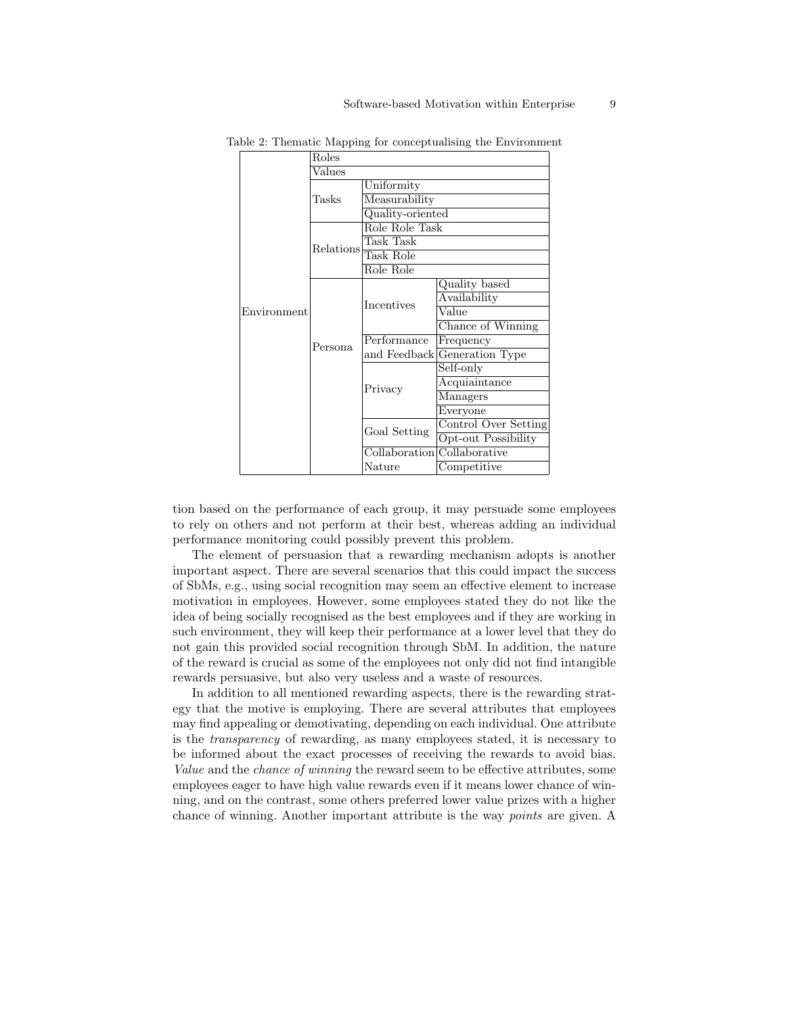|             | Roles                               |                             |                              |  |  |  |
|-------------|-------------------------------------|-----------------------------|------------------------------|--|--|--|
|             | Values                              |                             |                              |  |  |  |
|             |                                     | Uniformity                  |                              |  |  |  |
|             | Tasks                               | Measurability               |                              |  |  |  |
|             |                                     | Quality-oriented            |                              |  |  |  |
|             | $\frac{1}{\sqrt{\text{Task Role}}}$ | Role Role Task              |                              |  |  |  |
|             |                                     | Task Task                   |                              |  |  |  |
|             |                                     |                             |                              |  |  |  |
|             |                                     | Role Role                   |                              |  |  |  |
|             | Persona                             | Incentives                  | Quality based                |  |  |  |
|             |                                     |                             | Availability                 |  |  |  |
| Environment |                                     |                             | Value                        |  |  |  |
|             |                                     |                             | Chance of Winning            |  |  |  |
|             |                                     | Performance                 | Frequency                    |  |  |  |
|             |                                     |                             | and Feedback Generation Type |  |  |  |
|             |                                     |                             | Self-only                    |  |  |  |
|             |                                     | Privacy                     | Acquiaintance                |  |  |  |
|             |                                     |                             | Managers                     |  |  |  |
|             |                                     |                             | Everyone                     |  |  |  |
|             |                                     | Goal Setting                | Control Over Setting         |  |  |  |
|             |                                     |                             | Opt-out Possibility          |  |  |  |
|             |                                     | Collaboration Collaborative |                              |  |  |  |
|             |                                     | Nature                      | Competitive                  |  |  |  |

Table 2: Thematic Mapping for conceptualising the Environment

tion based on the performance of each group, it may persuade some employees to rely on others and not perform at their best, whereas adding an individual performance monitoring could possibly prevent this problem.

The element of persuasion that a rewarding mechanism adopts is another important aspect. There are several scenarios that this could impact the success of SbMs, e.g., using social recognition may seem an effective element to increase motivation in employees. However, some employees stated they do not like the idea of being socially recognised as the best employees and if they are working in such environment, they will keep their performance at a lower level that they do not gain this provided social recognition through SbM. In addition, the nature of the reward is crucial as some of the employees not only did not find intangible rewards persuasive, but also very useless and a waste of resources.

In addition to all mentioned rewarding aspects, there is the rewarding strategy that the motive is employing. There are several attributes that employees may find appealing or demotivating, depending on each individual. One attribute is the transparency of rewarding, as many employees stated, it is necessary to be informed about the exact processes of receiving the rewards to avoid bias. Value and the chance of winning the reward seem to be effective attributes, some employees eager to have high value rewards even if it means lower chance of winning, and on the contrast, some others preferred lower value prizes with a higher chance of winning. Another important attribute is the way points are given. A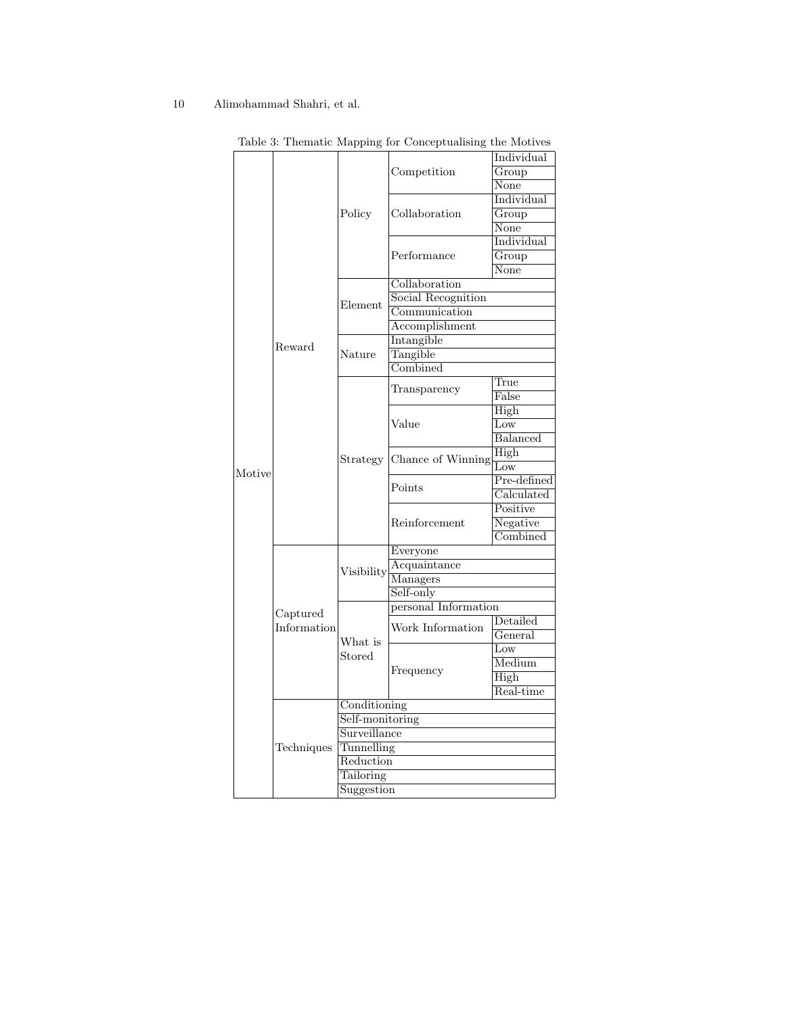|        |                         |                 |                      | Individual  |  |
|--------|-------------------------|-----------------|----------------------|-------------|--|
|        |                         |                 | Competition          | Group       |  |
|        |                         |                 |                      | <b>None</b> |  |
|        |                         |                 |                      | Individual  |  |
|        | Reward                  | Policy          | Collaboration        | Group       |  |
|        |                         |                 |                      | None        |  |
|        |                         |                 | Performance          | Individual  |  |
|        |                         |                 |                      | Group       |  |
|        |                         |                 |                      | None        |  |
|        |                         | Element         | Collaboration        |             |  |
|        |                         |                 | Social Recognition   |             |  |
|        |                         |                 | Communication        |             |  |
|        |                         |                 | Accomplishment       |             |  |
|        |                         | Nature          | Intangible           |             |  |
|        |                         |                 | Tangible             |             |  |
|        |                         |                 | Combined             |             |  |
|        |                         |                 |                      | True        |  |
|        |                         |                 | Transparency         | False       |  |
|        |                         |                 |                      | High        |  |
|        |                         |                 | Value                | Low         |  |
|        |                         |                 |                      | Balanced    |  |
|        |                         |                 | Chance of Winning    | High        |  |
| Motive |                         | Strategy        |                      | Low         |  |
|        |                         |                 | Points               | Pre-defined |  |
|        |                         |                 |                      | Calculated  |  |
|        |                         |                 | Reinforcement        | Positive    |  |
|        |                         |                 |                      | Negative    |  |
|        |                         |                 |                      | Combined    |  |
|        | Captured<br>Information | Visibility      | Everyone             |             |  |
|        |                         |                 | Acquaintance         |             |  |
|        |                         |                 | Managers             |             |  |
|        |                         |                 | Self-only            |             |  |
|        |                         |                 | personal Information |             |  |
|        |                         |                 | Work Information     | Detailed    |  |
|        |                         | What is         |                      | General     |  |
|        |                         | Stored          | Frequency            | Low         |  |
|        |                         |                 |                      | Medium      |  |
|        |                         |                 |                      | High        |  |
|        |                         |                 |                      | Real-time   |  |
|        | Techniques              | Conditioning    |                      |             |  |
|        |                         | Self-monitoring |                      |             |  |
|        |                         | Surveillance    |                      |             |  |
|        |                         | Tunnelling      |                      |             |  |
|        |                         | Reduction       |                      |             |  |
|        |                         | Tailoring       |                      |             |  |
|        |                         | Suggestion      |                      |             |  |

Table 3: Thematic Mapping for Conceptualising the Motives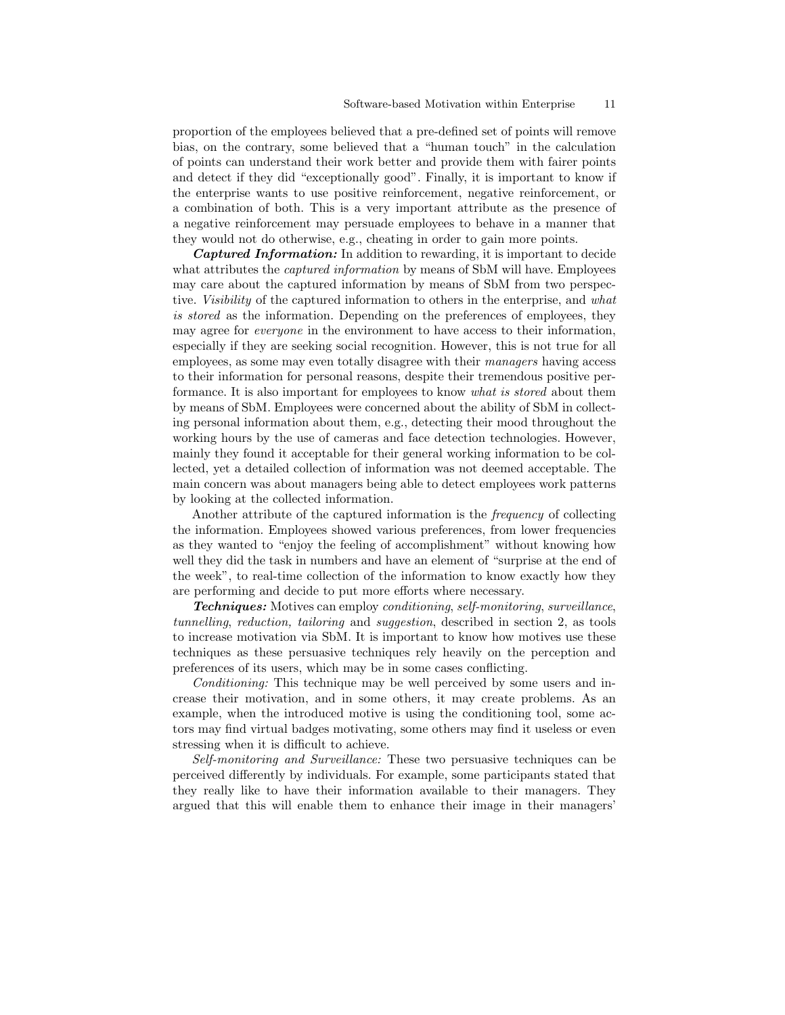proportion of the employees believed that a pre-defined set of points will remove bias, on the contrary, some believed that a "human touch" in the calculation of points can understand their work better and provide them with fairer points and detect if they did "exceptionally good". Finally, it is important to know if the enterprise wants to use positive reinforcement, negative reinforcement, or a combination of both. This is a very important attribute as the presence of a negative reinforcement may persuade employees to behave in a manner that they would not do otherwise, e.g., cheating in order to gain more points.

Captured Information: In addition to rewarding, it is important to decide what attributes the *captured information* by means of SbM will have. Employees may care about the captured information by means of SbM from two perspective. *Visibility* of the captured information to others in the enterprise, and what is stored as the information. Depending on the preferences of employees, they may agree for *everyone* in the environment to have access to their information, especially if they are seeking social recognition. However, this is not true for all employees, as some may even totally disagree with their managers having access to their information for personal reasons, despite their tremendous positive performance. It is also important for employees to know what is stored about them by means of SbM. Employees were concerned about the ability of SbM in collecting personal information about them, e.g., detecting their mood throughout the working hours by the use of cameras and face detection technologies. However, mainly they found it acceptable for their general working information to be collected, yet a detailed collection of information was not deemed acceptable. The main concern was about managers being able to detect employees work patterns by looking at the collected information.

Another attribute of the captured information is the frequency of collecting the information. Employees showed various preferences, from lower frequencies as they wanted to "enjoy the feeling of accomplishment" without knowing how well they did the task in numbers and have an element of "surprise at the end of the week", to real-time collection of the information to know exactly how they are performing and decide to put more efforts where necessary.

Techniques: Motives can employ conditioning, self-monitoring, surveillance, tunnelling, reduction, tailoring and suggestion, described in section 2, as tools to increase motivation via SbM. It is important to know how motives use these techniques as these persuasive techniques rely heavily on the perception and preferences of its users, which may be in some cases conflicting.

Conditioning: This technique may be well perceived by some users and increase their motivation, and in some others, it may create problems. As an example, when the introduced motive is using the conditioning tool, some actors may find virtual badges motivating, some others may find it useless or even stressing when it is difficult to achieve.

Self-monitoring and Surveillance: These two persuasive techniques can be perceived differently by individuals. For example, some participants stated that they really like to have their information available to their managers. They argued that this will enable them to enhance their image in their managers'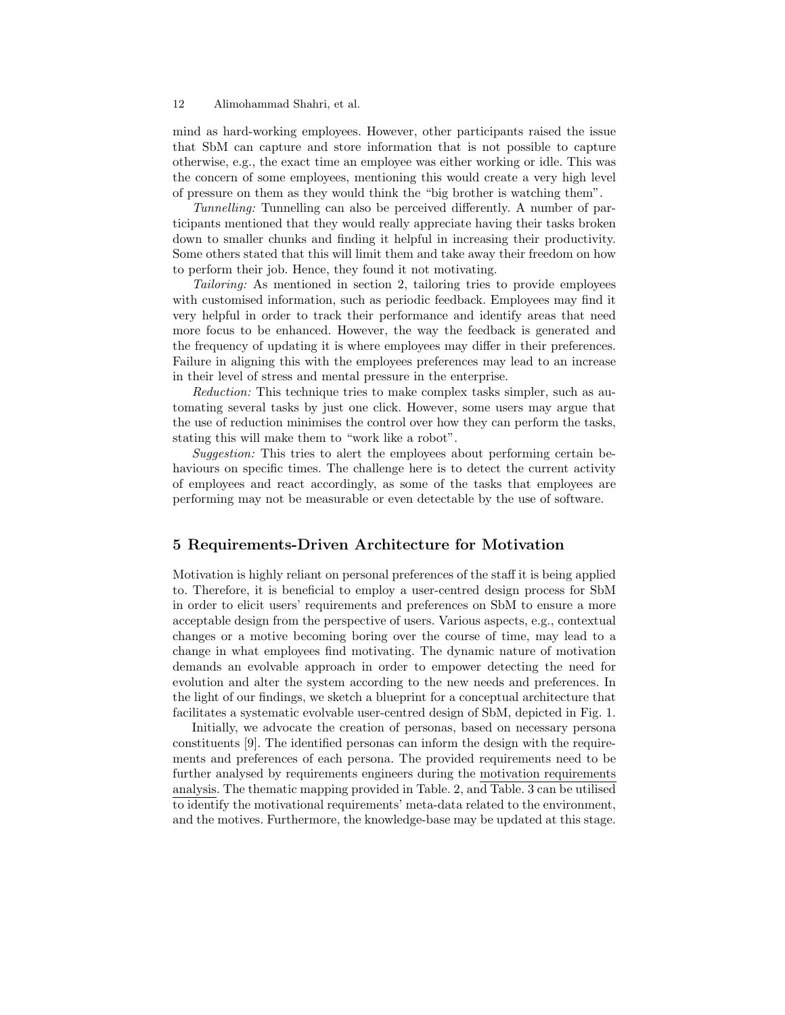mind as hard-working employees. However, other participants raised the issue that SbM can capture and store information that is not possible to capture otherwise, e.g., the exact time an employee was either working or idle. This was the concern of some employees, mentioning this would create a very high level of pressure on them as they would think the "big brother is watching them".

Tunnelling: Tunnelling can also be perceived differently. A number of participants mentioned that they would really appreciate having their tasks broken down to smaller chunks and finding it helpful in increasing their productivity. Some others stated that this will limit them and take away their freedom on how to perform their job. Hence, they found it not motivating.

Tailoring: As mentioned in section 2, tailoring tries to provide employees with customised information, such as periodic feedback. Employees may find it very helpful in order to track their performance and identify areas that need more focus to be enhanced. However, the way the feedback is generated and the frequency of updating it is where employees may differ in their preferences. Failure in aligning this with the employees preferences may lead to an increase in their level of stress and mental pressure in the enterprise.

Reduction: This technique tries to make complex tasks simpler, such as automating several tasks by just one click. However, some users may argue that the use of reduction minimises the control over how they can perform the tasks, stating this will make them to "work like a robot".

Suggestion: This tries to alert the employees about performing certain behaviours on specific times. The challenge here is to detect the current activity of employees and react accordingly, as some of the tasks that employees are performing may not be measurable or even detectable by the use of software.

### 5 Requirements-Driven Architecture for Motivation

Motivation is highly reliant on personal preferences of the staff it is being applied to. Therefore, it is beneficial to employ a user-centred design process for SbM in order to elicit users' requirements and preferences on SbM to ensure a more acceptable design from the perspective of users. Various aspects, e.g., contextual changes or a motive becoming boring over the course of time, may lead to a change in what employees find motivating. The dynamic nature of motivation demands an evolvable approach in order to empower detecting the need for evolution and alter the system according to the new needs and preferences. In the light of our findings, we sketch a blueprint for a conceptual architecture that facilitates a systematic evolvable user-centred design of SbM, depicted in Fig. 1.

Initially, we advocate the creation of personas, based on necessary persona constituents [9]. The identified personas can inform the design with the requirements and preferences of each persona. The provided requirements need to be further analysed by requirements engineers during the motivation requirements analysis. The thematic mapping provided in Table. 2, and Table. 3 can be utilised to identify the motivational requirements' meta-data related to the environment, and the motives. Furthermore, the knowledge-base may be updated at this stage.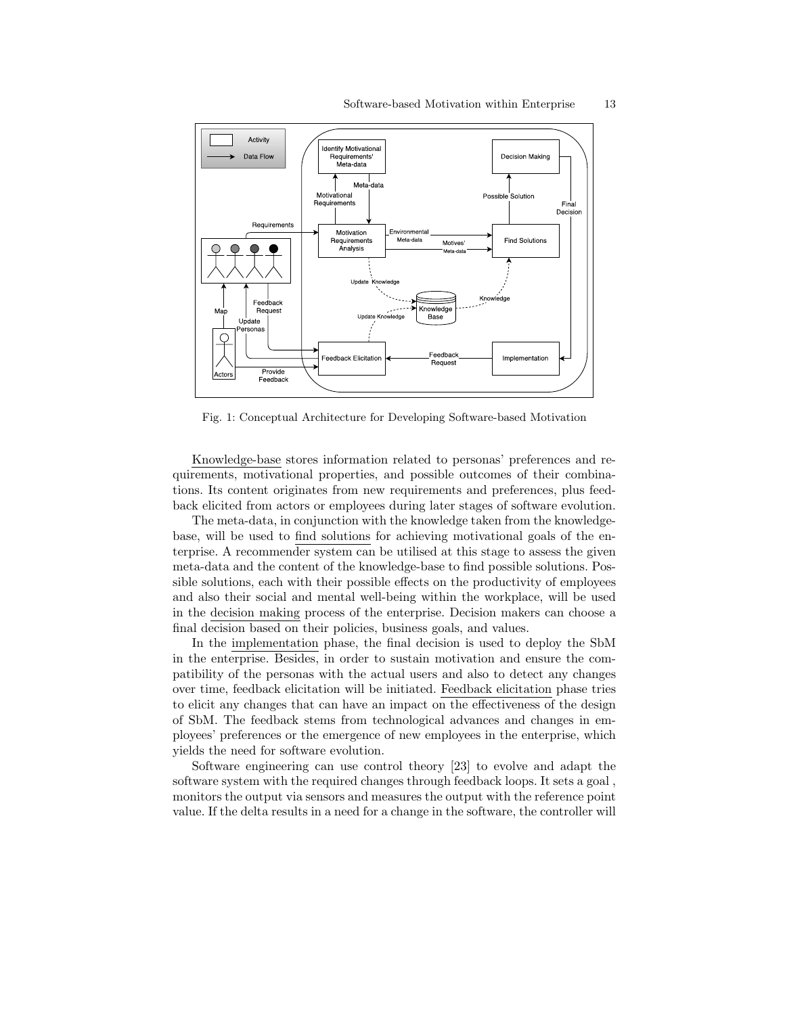

Fig. 1: Conceptual Architecture for Developing Software-based Motivation

Knowledge-base stores information related to personas' preferences and requirements, motivational properties, and possible outcomes of their combinations. Its content originates from new requirements and preferences, plus feedback elicited from actors or employees during later stages of software evolution.

The meta-data, in conjunction with the knowledge taken from the knowledgebase, will be used to find solutions for achieving motivational goals of the enterprise. A recommender system can be utilised at this stage to assess the given meta-data and the content of the knowledge-base to find possible solutions. Possible solutions, each with their possible effects on the productivity of employees and also their social and mental well-being within the workplace, will be used in the decision making process of the enterprise. Decision makers can choose a final decision based on their policies, business goals, and values.

In the implementation phase, the final decision is used to deploy the SbM in the enterprise. Besides, in order to sustain motivation and ensure the compatibility of the personas with the actual users and also to detect any changes over time, feedback elicitation will be initiated. Feedback elicitation phase tries to elicit any changes that can have an impact on the effectiveness of the design of SbM. The feedback stems from technological advances and changes in employees' preferences or the emergence of new employees in the enterprise, which yields the need for software evolution.

Software engineering can use control theory [23] to evolve and adapt the software system with the required changes through feedback loops. It sets a goal , monitors the output via sensors and measures the output with the reference point value. If the delta results in a need for a change in the software, the controller will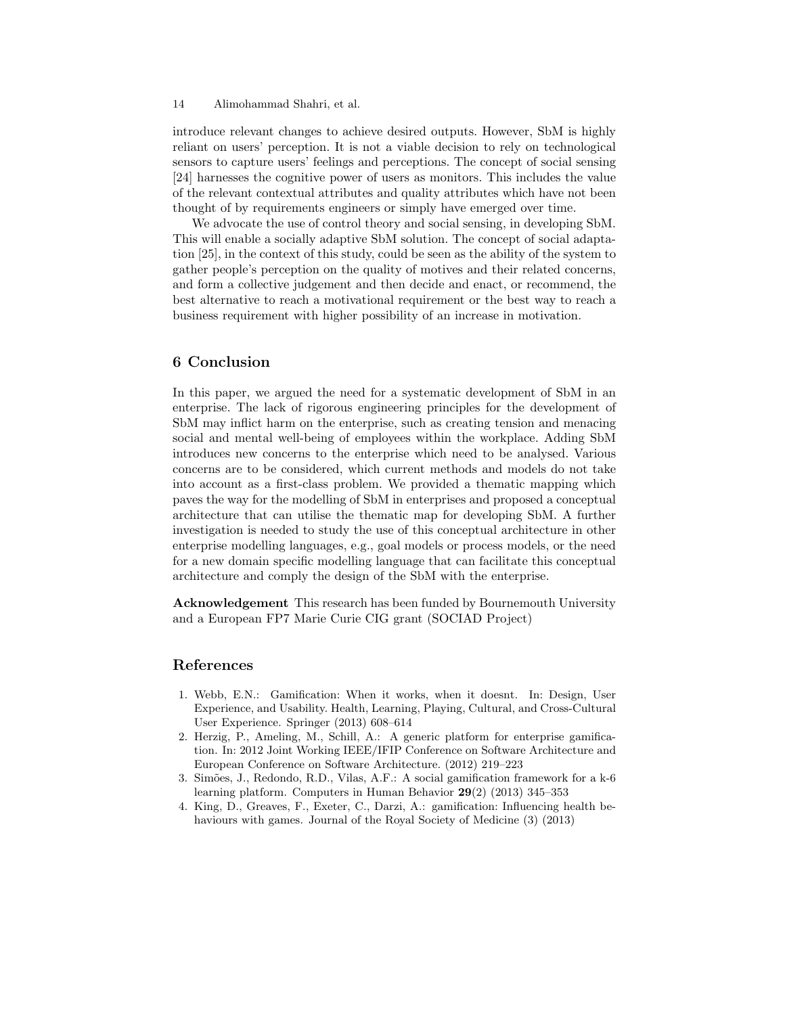introduce relevant changes to achieve desired outputs. However, SbM is highly reliant on users' perception. It is not a viable decision to rely on technological sensors to capture users' feelings and perceptions. The concept of social sensing [24] harnesses the cognitive power of users as monitors. This includes the value of the relevant contextual attributes and quality attributes which have not been thought of by requirements engineers or simply have emerged over time.

We advocate the use of control theory and social sensing, in developing SbM. This will enable a socially adaptive SbM solution. The concept of social adaptation [25], in the context of this study, could be seen as the ability of the system to gather people's perception on the quality of motives and their related concerns, and form a collective judgement and then decide and enact, or recommend, the best alternative to reach a motivational requirement or the best way to reach a business requirement with higher possibility of an increase in motivation.

# 6 Conclusion

In this paper, we argued the need for a systematic development of SbM in an enterprise. The lack of rigorous engineering principles for the development of SbM may inflict harm on the enterprise, such as creating tension and menacing social and mental well-being of employees within the workplace. Adding SbM introduces new concerns to the enterprise which need to be analysed. Various concerns are to be considered, which current methods and models do not take into account as a first-class problem. We provided a thematic mapping which paves the way for the modelling of SbM in enterprises and proposed a conceptual architecture that can utilise the thematic map for developing SbM. A further investigation is needed to study the use of this conceptual architecture in other enterprise modelling languages, e.g., goal models or process models, or the need for a new domain specific modelling language that can facilitate this conceptual architecture and comply the design of the SbM with the enterprise.

Acknowledgement This research has been funded by Bournemouth University and a European FP7 Marie Curie CIG grant (SOCIAD Project)

### References

- 1. Webb, E.N.: Gamification: When it works, when it doesnt. In: Design, User Experience, and Usability. Health, Learning, Playing, Cultural, and Cross-Cultural User Experience. Springer (2013) 608–614
- 2. Herzig, P., Ameling, M., Schill, A.: A generic platform for enterprise gamification. In: 2012 Joint Working IEEE/IFIP Conference on Software Architecture and European Conference on Software Architecture. (2012) 219–223
- 3. Simões, J., Redondo, R.D., Vilas, A.F.: A social gamification framework for a k-6 learning platform. Computers in Human Behavior 29(2) (2013) 345–353
- 4. King, D., Greaves, F., Exeter, C., Darzi, A.: gamification: Influencing health behaviours with games. Journal of the Royal Society of Medicine (3) (2013)